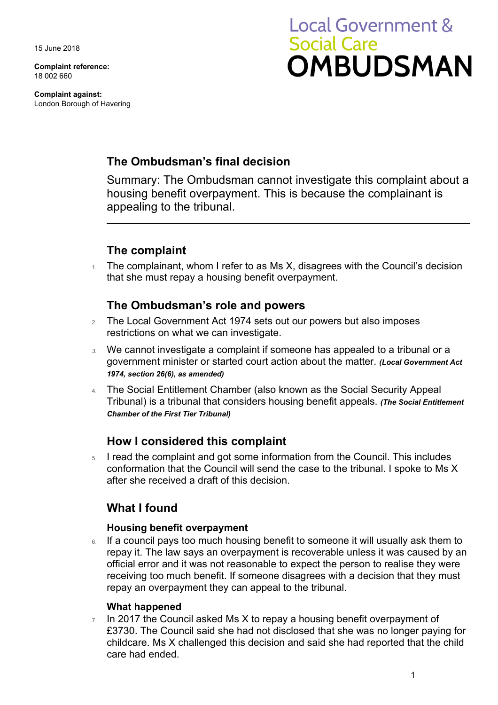15 June 2018

**Complaint reference:**  18 002 660

**Complaint against:**  London Borough of Havering

# **Local Government & Social Care OMBUDSMAN**

# **The Ombudsman's final decision**

Summary: The Ombudsman cannot investigate this complaint about a housing benefit overpayment. This is because the complainant is appealing to the tribunal.

## **The complaint**

 $1.$  The complainant, whom I refer to as Ms X, disagrees with the Council's decision that she must repay a housing benefit overpayment.

## **The Ombudsman's role and powers**

- 2. The Local Government Act 1974 sets out our powers but also imposes restrictions on what we can investigate.
- *3.* We cannot investigate a complaint if someone has appealed to a tribunal or a government minister or started court action about the matter. *(Local Government Act 1974, section 26(6), as amended)*
- 4. The Social Entitlement Chamber (also known as the Social Security Appeal Tribunal) is a tribunal that considers housing benefit appeals. *(The Social Entitlement Chamber of the First Tier Tribunal)*

## **How I considered this complaint**

5. I read the complaint and got some information from the Council. This includes conformation that the Council will send the case to the tribunal. I spoke to Ms X after she received a draft of this decision.

## **What I found**

#### **Housing benefit overpayment**

 repay it. The law says an overpayment is recoverable unless it was caused by an 6. If a council pays too much housing benefit to someone it will usually ask them to official error and it was not reasonable to expect the person to realise they were receiving too much benefit. If someone disagrees with a decision that they must repay an overpayment they can appeal to the tribunal.

#### **What happened**

 $7.$  In 2017 the Council asked Ms X to repay a housing benefit overpayment of £3730. The Council said she had not disclosed that she was no longer paying for childcare. Ms X challenged this decision and said she had reported that the child care had ended.